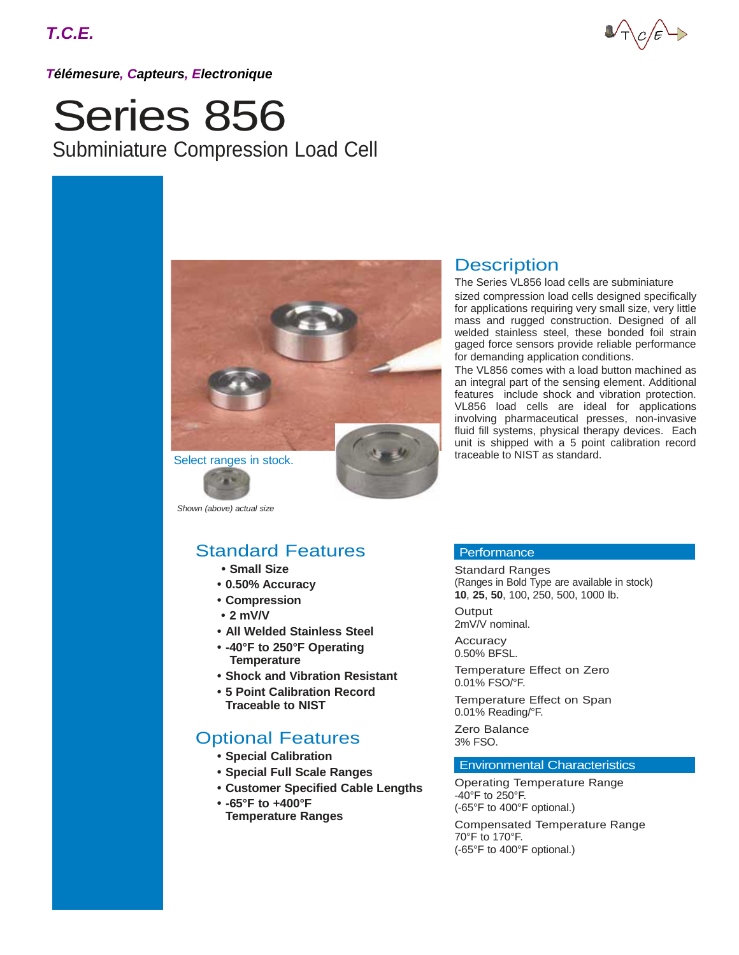### *Télémesure, Capteurs, Electronique*

# Series 856 Subminiature Compression Load Cell



*Shown (above) actual size*

## Standard Features

- **• Small Size**
- **• 0.50% Accuracy**
- **• Compression**
- **• 2 mV/V**
- **• All Welded Stainless Steel**
- **• -40°F to 250°F Operating Temperature**
- **• Shock and Vibration Resistant**
- **• 5 Point Calibration Record Traceable to NIST**

## Optional Features

- **• Special Calibration**
- **• Special Full Scale Ranges**
- **• Customer Specified Cable Lengths**
- **• -65°F to +400°F Temperature Ranges**

### **Description**

The Series VL856 load cells are subminiature sized compression load cells designed specifically for applications requiring very small size, very little mass and rugged construction. Designed of all welded stainless steel, these bonded foil strain gaged force sensors provide reliable performance for demanding application conditions.

The VL856 comes with a load button machined as an integral part of the sensing element. Additional features include shock and vibration protection. VL856 load cells are ideal for applications involving pharmaceutical presses, non-invasive fluid fill systems, physical therapy devices. Each unit is shipped with a 5 point calibration record traceable to NIST as standard.

### **Performance**

Standard Ranges (Ranges in Bold Type are available in stock) **10**, **25**, **50**, 100, 250, 500, 1000 lb.

**Output** 2mV/V nominal.

**Accuracy** 0.50% BFSL.

Temperature Effect on Zero 0.01% FSO/°F.

Temperature Effect on Span 0.01% Reading/°F.

Zero Balance 3% FSO.

### Environmental Characteristics

Operating Temperature Range -40°F to 250°F. (-65°F to 400°F optional.)

Compensated Temperature Range 70°F to 170°F. (-65°F to 400°F optional.)

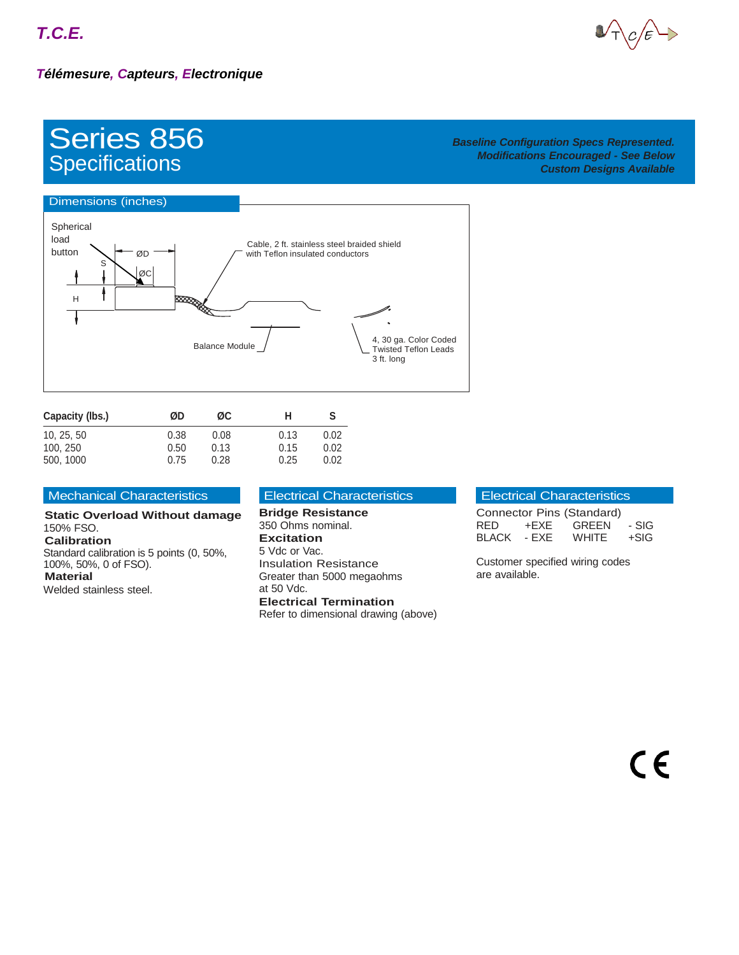

## Series 856 **Specifications**

### *Baseline Configuration Specs Represented. Modifications Encouraged - See Below Custom Designs Available*



| Capacity (lbs.) | ØD   | ØC.  | н    | S    |
|-----------------|------|------|------|------|
| 10, 25, 50      | 0.38 | 0.08 | 0.13 | 0.02 |
| 100, 250        | 0.50 | 0.13 | 0.15 | 0.02 |
| 500, 1000       | 0.75 | 0.28 | 0.25 | 0.02 |

### Mechanical Characteristics

**Static Overload Without damage** 150% FSO. **Calibration** Standard calibration is 5 points (0, 50%, 100%, 50%, 0 of FSO). **Material** Welded stainless steel.

### Electrical Characteristics

### **Bridge Resistance** 350 Ohms nominal. **Excitation** 5 Vdc or Vac. Insulation Resistance

Greater than 5000 megaohms at 50 Vdc. **Electrical Termination** Refer to dimensional drawing (above)

### Electrical Characteristics

| Connector Pins (Standard) |        |       |        |
|---------------------------|--------|-------|--------|
| RED.                      | +FXF - | GREEN | - SIG  |
| <b>BLACK</b>              | - FXF  | WHITE | $+SIG$ |

Customer specified wiring codes are available.